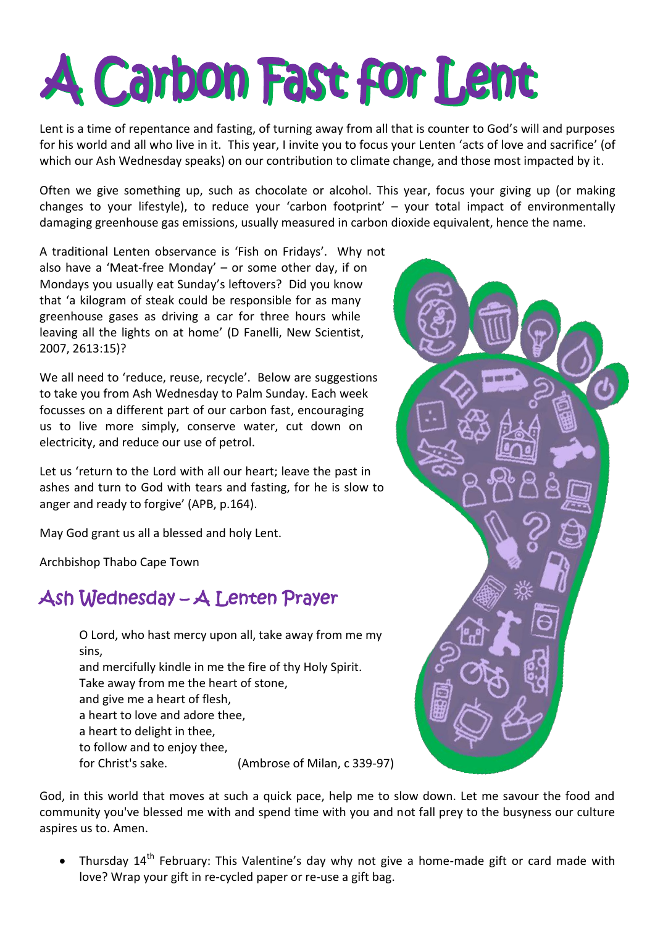# A Carbon Fast for Lent

Lent is a time of repentance and fasting, of turning away from all that is counter to God's will and purposes for his world and all who live in it. This year, I invite you to focus your Lenten 'acts of love and sacrifice' (of which our Ash Wednesday speaks) on our contribution to climate change, and those most impacted by it.

Often we give something up, such as chocolate or alcohol. This year, focus your giving up (or making changes to your lifestyle), to reduce your 'carbon footprint'  $-$  your total impact of environmentally damaging greenhouse gas emissions, usually measured in carbon dioxide equivalent, hence the name.

A traditional Lenten observance is 'Fish on Fridays'. Why not also have a 'Meat-free Monday' – or some other day, if on Mondays you usually eat Sunday's leftovers? Did you know that 'a kilogram of steak could be responsible for as many greenhouse gases as driving a car for three hours while leaving all the lights on at home' (D Fanelli, New Scientist, 2007, 2613:15)?

We all need to 'reduce, reuse, recycle'. Below are suggestions to take you from Ash Wednesday to Palm Sunday. Each week focusses on a different part of our carbon fast, encouraging us to live more simply, conserve water, cut down on electricity, and reduce our use of petrol.

Let us 'return to the Lord with all our heart; leave the past in ashes and turn to God with tears and fasting, for he is slow to anger and ready to forgive' (APB, p.164).

May God grant us all a blessed and holy Lent.

Archbishop Thabo Cape Town

## Ash Wednesday - A Lenten Prayer

O Lord, who hast mercy upon all, take away from me my sins. and mercifully kindle in me the fire of thy Holy Spirit. Take away from me the heart of stone, and give me a heart of flesh, a heart to love and adore thee, a heart to delight in thee. to follow and to enjoy thee, for Christ's sake. (Ambrose of Milan, c 339-97)

God, in this world that moves at such a quick pace, help me to slow down. Let me savour the food and community you've blessed me with and spend time with you and not fall prey to the busyness our culture aspires us to, Amen.

Thursdav 14<sup>th</sup> February: This Valentine's day why not give a home-made gift or card made with love? Wrap your gift in re-cycled paper or re-use a gift bag.

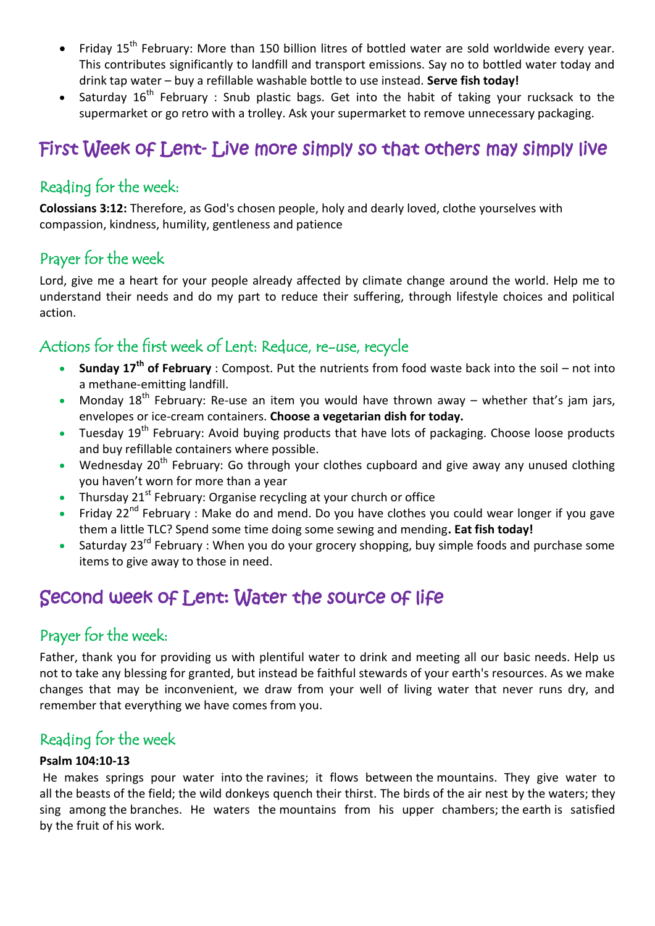- Friday 15<sup>th</sup> February: More than 150 billion litres of bottled water are sold worldwide every year. This contributes significantly to landfill and transport emissions. Say no to bottled water today and drink tap water - buy a refillable washable bottle to use instead. Serve fish today!
- Saturday 16<sup>th</sup> February : Snub plastic bags. Get into the habit of taking your rucksack to the supermarket or go retro with a trolley. Ask your supermarket to remove unnecessary packaging.

## First Week of Lent-Live more simply so that others may simply live

#### Reading for the week:

Colossians 3:12: Therefore, as God's chosen people, holy and dearly loved, clothe yourselves with compassion, kindness, humility, gentleness and patience

#### Prayer for the week

Lord, give me a heart for your people already affected by climate change around the world. Help me to understand their needs and do my part to reduce their suffering, through lifestyle choices and political action.

## Actions for the first week of Lent: Reduce, re-use, recycle

- **Sunday 17<sup>th</sup> of February**: Compost. Put the nutrients from food waste back into the soil not into  $\bullet$ a methane-emitting landfill.
- Monday  $18^{th}$  February: Re-use an item you would have thrown away whether that's jam jars, envelopes or ice-cream containers. Choose a vegetarian dish for today.
- Tuesday 19<sup>th</sup> February: Avoid buying products that have lots of packaging. Choose loose products and buy refillable containers where possible.
- Wednesday 20<sup>th</sup> February: Go through your clothes cupboard and give away any unused clothing you haven't worn for more than a year
- Thursday 21<sup>st</sup> February: Organise recycling at your church or office
- Friday 22<sup>nd</sup> February: Make do and mend. Do you have clothes you could wear longer if you gave them a little TLC? Spend some time doing some sewing and mending. Eat fish today!
- Saturdav 23<sup>rd</sup> February: When you do your grocery shopping, buy simple foods and purchase some items to give away to those in need.

## Second week of Lent: Water the source of life

#### Prayer for the week:

Father, thank you for providing us with plentiful water to drink and meeting all our basic needs. Help us not to take any blessing for granted, but instead be faithful stewards of your earth's resources. As we make changes that may be inconvenient, we draw from your well of living water that never runs dry, and remember that everything we have comes from you.

#### Reading for the week

#### Psalm 104:10-13

He makes springs pour water into the ravines; it flows between the mountains. They give water to all the beasts of the field; the wild donkeys quench their thirst. The birds of the air nest by the waters; they sing among the branches. He waters the mountains from his upper chambers; the earth is satisfied by the fruit of his work.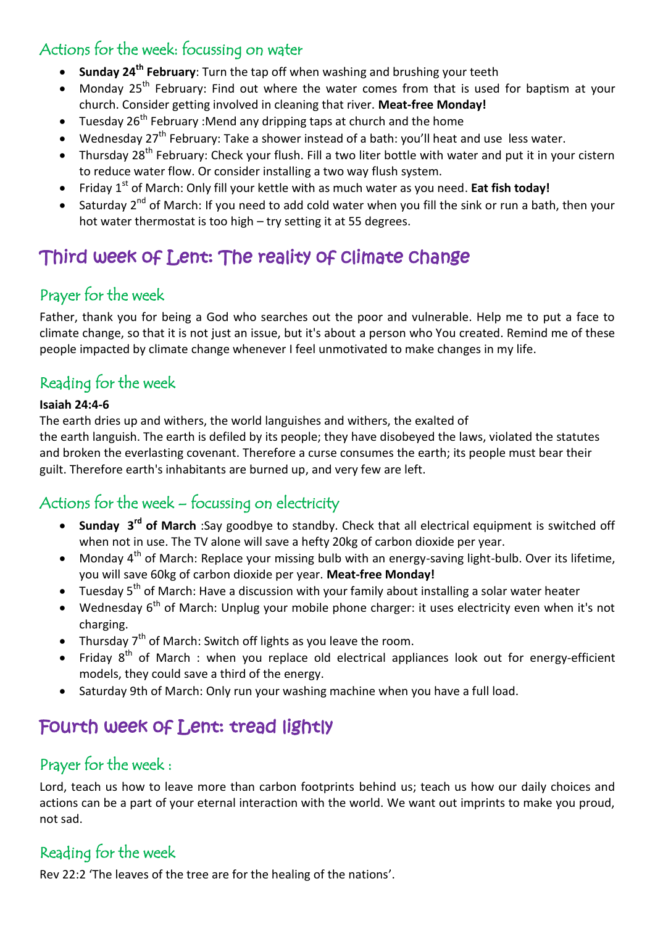### Actions for the week: focussing on water

- **Sunday 24<sup>th</sup> February**: Turn the tap off when washing and brushing your teeth
- Monday  $25<sup>th</sup>$  February: Find out where the water comes from that is used for baptism at your church. Consider getting involved in cleaning that river. Meat-free Monday!
- Tuesday  $26^{th}$  February :Mend any dripping taps at church and the home
- Wednesday 27<sup>th</sup> February: Take a shower instead of a bath: you'll heat and use less water.
- Thursday 28<sup>th</sup> February: Check your flush. Fill a two liter bottle with water and put it in your cistern to reduce water flow. Or consider installing a two way flush system.
- Friday 1<sup>st</sup> of March: Only fill your kettle with as much water as you need. **Eat fish today!**
- Saturday 2<sup>nd</sup> of March: If you need to add cold water when you fill the sink or run a bath, then your hot water thermostat is too high  $-$  try setting it at 55 degrees.

## Third week of Lent: The reality of climate change

#### Prayer for the week

Father, thank you for being a God who searches out the poor and vulnerable. Help me to put a face to climate change, so that it is not just an issue, but it's about a person who You created. Remind me of these people impacted by climate change whenever I feel unmotivated to make changes in my life.

#### Reading for the week

#### **Isaiah 24:4-6**

The earth dries up and withers, the world languishes and withers, the exalted of the earth languish. The earth is defiled by its people; they have disobeyed the laws, violated the statutes and broken the everlasting covenant. Therefore a curse consumes the earth; its people must bear their guilt. Therefore earth's inhabitants are burned up, and very few are left.

#### Actions for the week  $-$  focussing on electricity

- Sunday 3<sup>rd</sup> of March :Say goodbye to standby. Check that all electrical equipment is switched off when not in use. The TV alone will save a hefty 20kg of carbon dioxide per year.
- Monday 4<sup>th</sup> of March: Replace your missing bulb with an energy-saving light-bulb. Over its lifetime, you will save 60kg of carbon dioxide per year. Meat-free Monday!
- Tuesday  $5<sup>th</sup>$  of March: Have a discussion with your family about installing a solar water heater
- Wednesday  $6<sup>th</sup>$  of March: Unplug your mobile phone charger: it uses electricity even when it's not charging.
- Thursday  $7<sup>th</sup>$  of March: Switch off lights as you leave the room.
- Friday  $8<sup>th</sup>$  of March : when you replace old electrical appliances look out for energy-efficient models, they could save a third of the energy.
- Saturday 9th of March: Only run your washing machine when you have a full load.

## Fourth week of Lent: tread lightly

#### Prayer for the week :

Lord, teach us how to leave more than carbon footprints behind us; teach us how our daily choices and actions can be a part of your eternal interaction with the world. We want out imprints to make you proud, not sad.

#### Reading for the week

Rev 22:2 'The leaves of the tree are for the healing of the nations'.